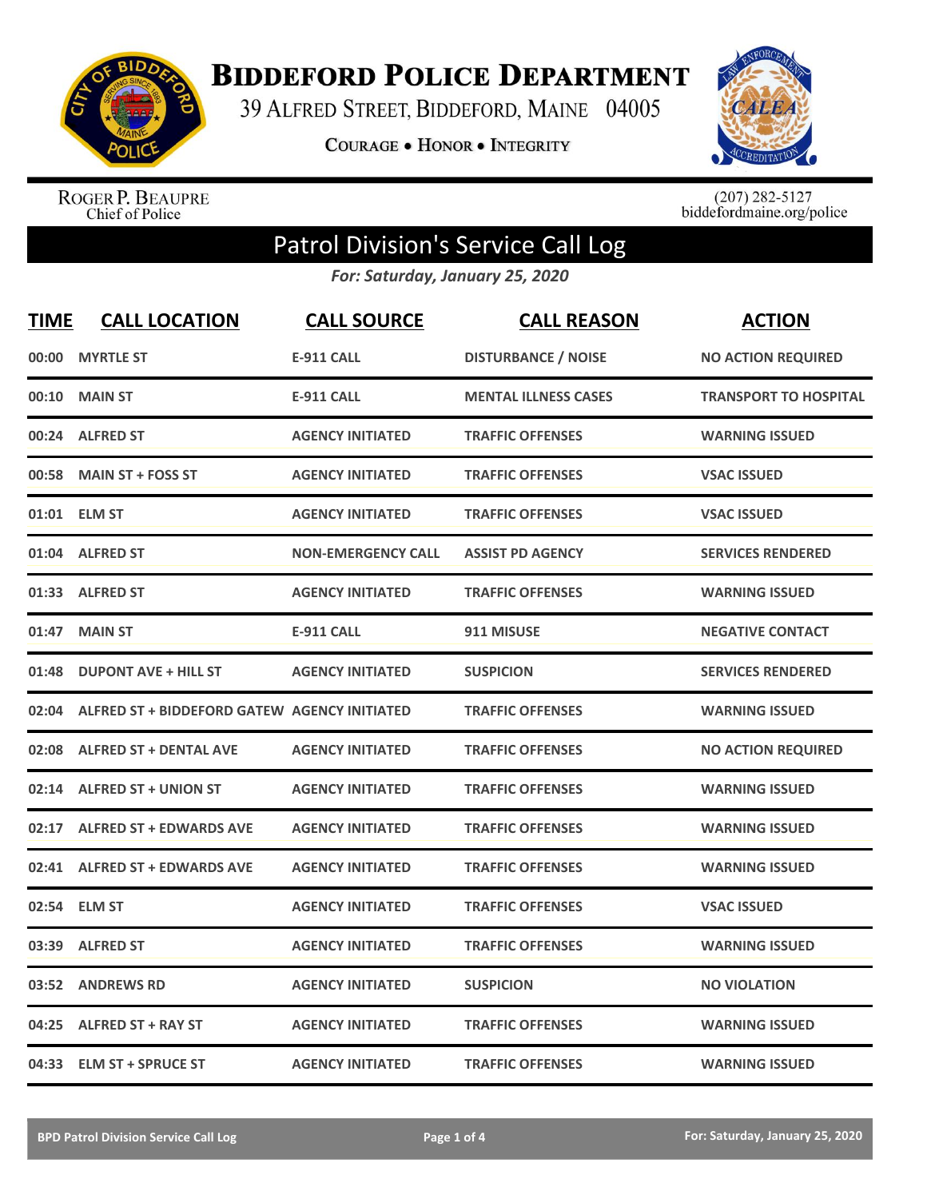

**BIDDEFORD POLICE DEPARTMENT** 

39 ALFRED STREET, BIDDEFORD, MAINE 04005

**COURAGE . HONOR . INTEGRITY** 



ROGER P. BEAUPRE<br>Chief of Police

 $(207)$  282-5127<br>biddefordmaine.org/police

## Patrol Division's Service Call Log

*For: Saturday, January 25, 2020*

| <b>TIME</b> | <b>CALL LOCATION</b>                         | <b>CALL SOURCE</b>        | <b>CALL REASON</b>          | <b>ACTION</b>                |
|-------------|----------------------------------------------|---------------------------|-----------------------------|------------------------------|
| 00:00       | <b>MYRTLE ST</b>                             | <b>E-911 CALL</b>         | <b>DISTURBANCE / NOISE</b>  | <b>NO ACTION REQUIRED</b>    |
| 00:10       | <b>MAIN ST</b>                               | <b>E-911 CALL</b>         | <b>MENTAL ILLNESS CASES</b> | <b>TRANSPORT TO HOSPITAL</b> |
| 00:24       | <b>ALFRED ST</b>                             | <b>AGENCY INITIATED</b>   | <b>TRAFFIC OFFENSES</b>     | <b>WARNING ISSUED</b>        |
| 00:58       | <b>MAIN ST + FOSS ST</b>                     | <b>AGENCY INITIATED</b>   | <b>TRAFFIC OFFENSES</b>     | <b>VSAC ISSUED</b>           |
| 01:01       | <b>ELM ST</b>                                | <b>AGENCY INITIATED</b>   | <b>TRAFFIC OFFENSES</b>     | <b>VSAC ISSUED</b>           |
| 01:04       | <b>ALFRED ST</b>                             | <b>NON-EMERGENCY CALL</b> | <b>ASSIST PD AGENCY</b>     | <b>SERVICES RENDERED</b>     |
| 01:33       | <b>ALFRED ST</b>                             | <b>AGENCY INITIATED</b>   | <b>TRAFFIC OFFENSES</b>     | <b>WARNING ISSUED</b>        |
| 01:47       | <b>MAIN ST</b>                               | <b>E-911 CALL</b>         | 911 MISUSE                  | <b>NEGATIVE CONTACT</b>      |
| 01:48       | <b>DUPONT AVE + HILL ST</b>                  | <b>AGENCY INITIATED</b>   | <b>SUSPICION</b>            | <b>SERVICES RENDERED</b>     |
| 02:04       | ALFRED ST + BIDDEFORD GATEW AGENCY INITIATED |                           | <b>TRAFFIC OFFENSES</b>     | <b>WARNING ISSUED</b>        |
| 02:08       | <b>ALFRED ST + DENTAL AVE</b>                | <b>AGENCY INITIATED</b>   | <b>TRAFFIC OFFENSES</b>     | <b>NO ACTION REQUIRED</b>    |
|             | 02:14 ALFRED ST + UNION ST                   | <b>AGENCY INITIATED</b>   | <b>TRAFFIC OFFENSES</b>     | <b>WARNING ISSUED</b>        |
| 02:17       | <b>ALFRED ST + EDWARDS AVE</b>               | <b>AGENCY INITIATED</b>   | <b>TRAFFIC OFFENSES</b>     | <b>WARNING ISSUED</b>        |
| 02:41       | <b>ALFRED ST + EDWARDS AVE</b>               | <b>AGENCY INITIATED</b>   | <b>TRAFFIC OFFENSES</b>     | <b>WARNING ISSUED</b>        |
| 02:54       | <b>ELM ST</b>                                | <b>AGENCY INITIATED</b>   | <b>TRAFFIC OFFENSES</b>     | <b>VSAC ISSUED</b>           |
| 03:39       | <b>ALFRED ST</b>                             | <b>AGENCY INITIATED</b>   | <b>TRAFFIC OFFENSES</b>     | <b>WARNING ISSUED</b>        |
| 03:52       | <b>ANDREWS RD</b>                            | <b>AGENCY INITIATED</b>   | <b>SUSPICION</b>            | <b>NO VIOLATION</b>          |
| 04:25       | <b>ALFRED ST + RAY ST</b>                    | <b>AGENCY INITIATED</b>   | <b>TRAFFIC OFFENSES</b>     | <b>WARNING ISSUED</b>        |
|             | 04:33 ELM ST + SPRUCE ST                     | <b>AGENCY INITIATED</b>   | <b>TRAFFIC OFFENSES</b>     | <b>WARNING ISSUED</b>        |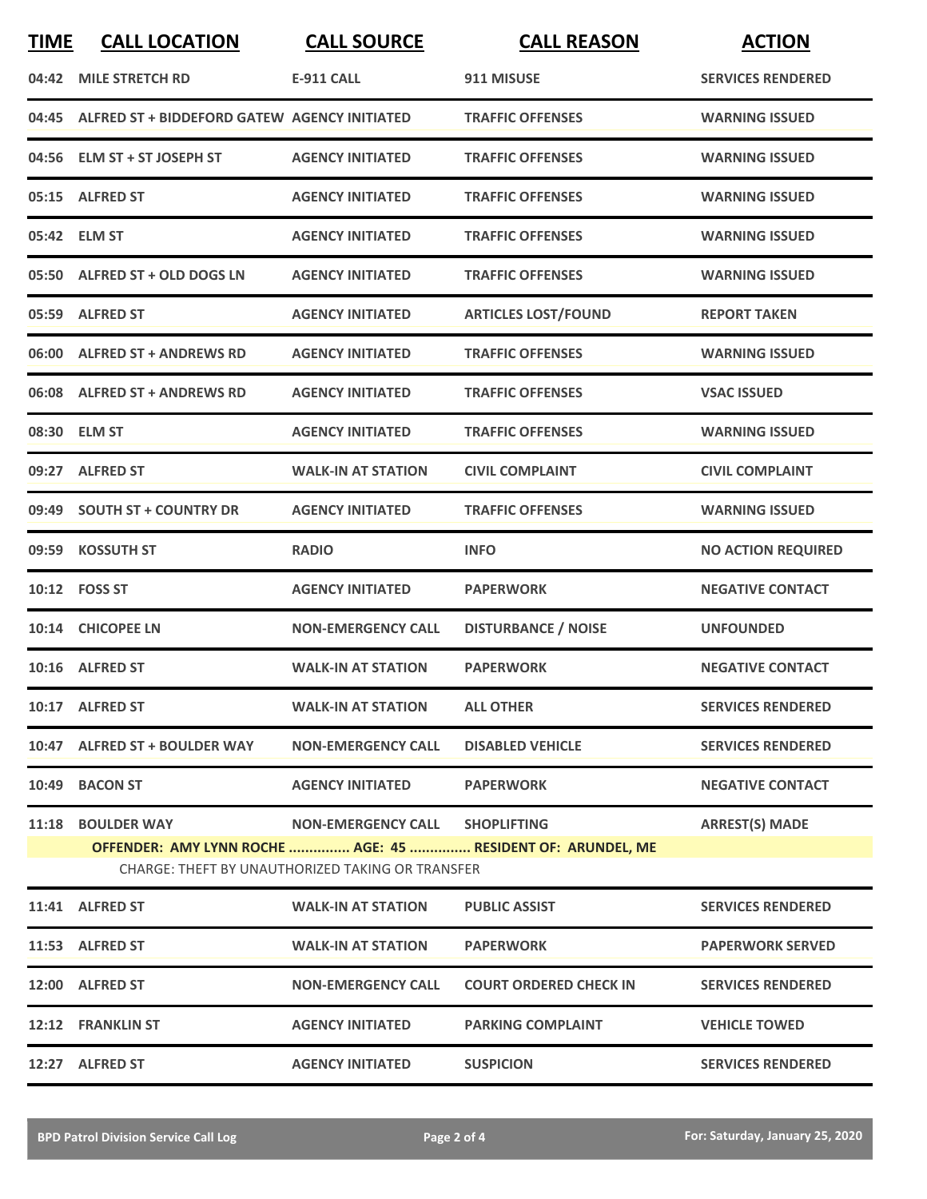| <b>TIME</b> | <b>CALL LOCATION</b>                                                         | <b>CALL SOURCE</b>             | <b>CALL REASON</b>                                          | <b>ACTION</b>             |
|-------------|------------------------------------------------------------------------------|--------------------------------|-------------------------------------------------------------|---------------------------|
|             | 04:42 MILE STRETCH RD                                                        | <b>E-911 CALL</b>              | 911 MISUSE                                                  | <b>SERVICES RENDERED</b>  |
|             | 04:45 ALFRED ST + BIDDEFORD GATEW AGENCY INITIATED                           |                                | <b>TRAFFIC OFFENSES</b>                                     | <b>WARNING ISSUED</b>     |
|             | 04:56 ELM ST + ST JOSEPH ST                                                  | <b>AGENCY INITIATED</b>        | <b>TRAFFIC OFFENSES</b>                                     | <b>WARNING ISSUED</b>     |
|             | 05:15 ALFRED ST                                                              | <b>AGENCY INITIATED</b>        | <b>TRAFFIC OFFENSES</b>                                     | <b>WARNING ISSUED</b>     |
|             | 05:42 ELM ST                                                                 | <b>AGENCY INITIATED</b>        | <b>TRAFFIC OFFENSES</b>                                     | <b>WARNING ISSUED</b>     |
|             | 05:50 ALFRED ST + OLD DOGS LN                                                | <b>AGENCY INITIATED</b>        | <b>TRAFFIC OFFENSES</b>                                     | <b>WARNING ISSUED</b>     |
|             | 05:59 ALFRED ST                                                              | <b>AGENCY INITIATED</b>        | <b>ARTICLES LOST/FOUND</b>                                  | <b>REPORT TAKEN</b>       |
|             | 06:00 ALFRED ST + ANDREWS RD                                                 | <b>AGENCY INITIATED</b>        | <b>TRAFFIC OFFENSES</b>                                     | <b>WARNING ISSUED</b>     |
|             | 06:08 ALFRED ST + ANDREWS RD                                                 | <b>AGENCY INITIATED</b>        | <b>TRAFFIC OFFENSES</b>                                     | <b>VSAC ISSUED</b>        |
|             | 08:30 ELM ST                                                                 | <b>AGENCY INITIATED</b>        | <b>TRAFFIC OFFENSES</b>                                     | <b>WARNING ISSUED</b>     |
|             | 09:27 ALFRED ST                                                              | <b>WALK-IN AT STATION</b>      | <b>CIVIL COMPLAINT</b>                                      | <b>CIVIL COMPLAINT</b>    |
|             | 09:49 SOUTH ST + COUNTRY DR                                                  | <b>AGENCY INITIATED</b>        | <b>TRAFFIC OFFENSES</b>                                     | <b>WARNING ISSUED</b>     |
|             | 09:59 KOSSUTH ST                                                             | <b>RADIO</b>                   | <b>INFO</b>                                                 | <b>NO ACTION REQUIRED</b> |
|             | 10:12    FOSS ST                                                             | <b>AGENCY INITIATED</b>        | <b>PAPERWORK</b>                                            | <b>NEGATIVE CONTACT</b>   |
|             | 10:14 CHICOPEE LN                                                            | <b>NON-EMERGENCY CALL</b>      | <b>DISTURBANCE / NOISE</b>                                  | <b>UNFOUNDED</b>          |
|             | 10:16 ALFRED ST                                                              | <b>WALK-IN AT STATION</b>      | <b>PAPERWORK</b>                                            | <b>NEGATIVE CONTACT</b>   |
|             | 10:17 ALFRED ST                                                              | <b>WALK-IN AT STATION</b>      | <b>ALL OTHER</b>                                            | <b>SERVICES RENDERED</b>  |
|             | 10:47 ALFRED ST + BOULDER WAY                                                | <b>NON-EMERGENCY CALL</b>      | <b>DISABLED VEHICLE</b>                                     | <b>SERVICES RENDERED</b>  |
|             | 10:49 BACON ST                                                               | <b>AGENCY INITIATED</b>        | <b>PAPERWORK</b>                                            | <b>NEGATIVE CONTACT</b>   |
|             | <b>11:18 BOULDER WAY</b><br>CHARGE: THEFT BY UNAUTHORIZED TAKING OR TRANSFER | NON-EMERGENCY CALL SHOPLIFTING | OFFENDER: AMY LYNN ROCHE  AGE: 45  RESIDENT OF: ARUNDEL, ME | <b>ARREST(S) MADE</b>     |
|             | 11:41 ALFRED ST                                                              | <b>WALK-IN AT STATION</b>      | <b>PUBLIC ASSIST</b>                                        | <b>SERVICES RENDERED</b>  |
|             | 11:53 ALFRED ST                                                              | <b>WALK-IN AT STATION</b>      | <b>PAPERWORK</b>                                            | <b>PAPERWORK SERVED</b>   |
|             |                                                                              |                                |                                                             |                           |
|             | 12:00 ALFRED ST                                                              | <b>NON-EMERGENCY CALL</b>      | <b>COURT ORDERED CHECK IN</b>                               | <b>SERVICES RENDERED</b>  |
|             | 12:12 FRANKLIN ST                                                            | <b>AGENCY INITIATED</b>        | <b>PARKING COMPLAINT</b>                                    | <b>VEHICLE TOWED</b>      |
|             | 12:27 ALFRED ST                                                              | <b>AGENCY INITIATED</b>        | <b>SUSPICION</b>                                            | <b>SERVICES RENDERED</b>  |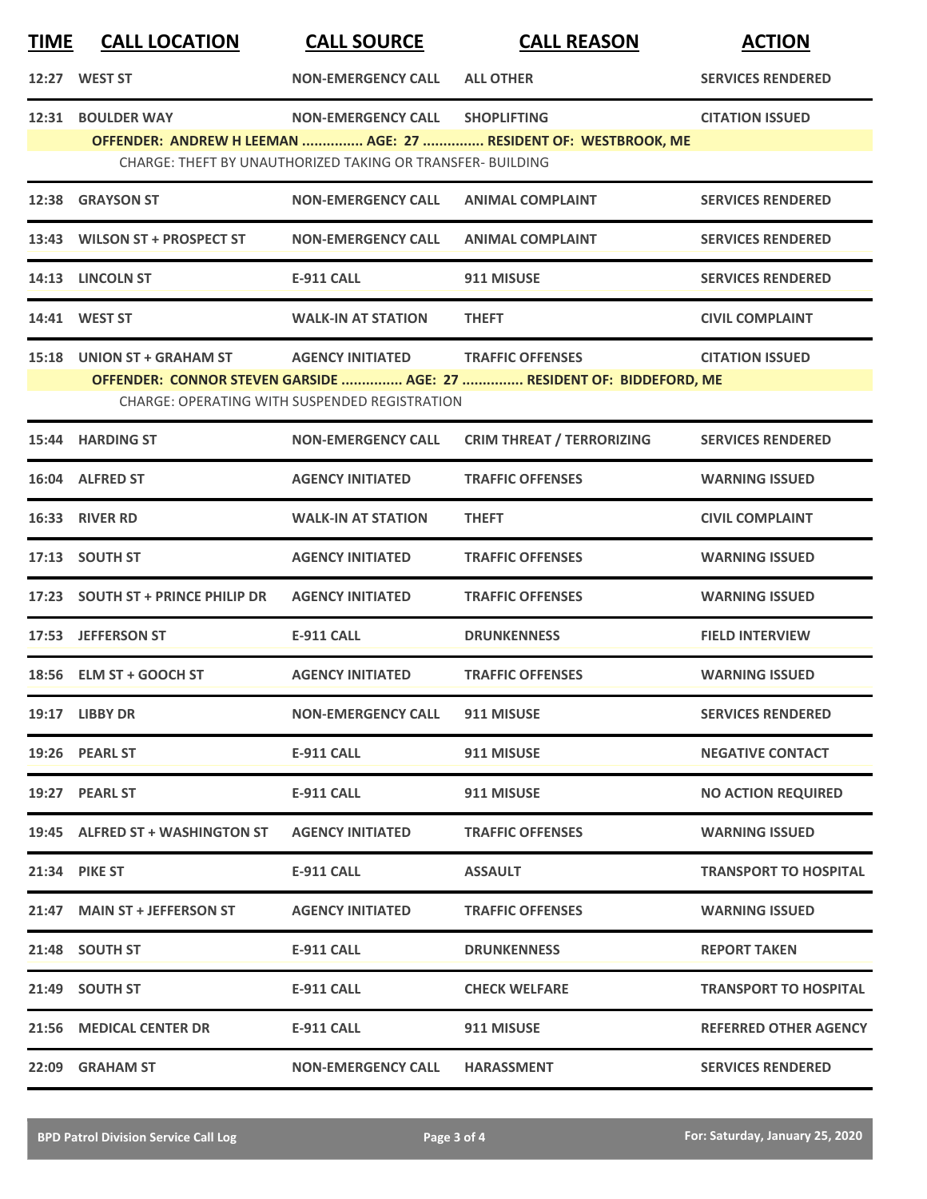| <b>TIME</b> | <b>CALL LOCATION</b>              | <b>CALL SOURCE</b>                                                                      | <b>CALL REASON</b>                                                                              | <b>ACTION</b>                |
|-------------|-----------------------------------|-----------------------------------------------------------------------------------------|-------------------------------------------------------------------------------------------------|------------------------------|
|             | 12:27 WEST ST                     | <b>NON-EMERGENCY CALL</b>                                                               | <b>ALL OTHER</b>                                                                                | <b>SERVICES RENDERED</b>     |
|             | 12:31 BOULDER WAY                 | <b>NON-EMERGENCY CALL</b><br>CHARGE: THEFT BY UNAUTHORIZED TAKING OR TRANSFER- BUILDING | <b>SHOPLIFTING</b><br>OFFENDER: ANDREW H LEEMAN  AGE: 27  RESIDENT OF: WESTBROOK, ME            | <b>CITATION ISSUED</b>       |
| 12:38       | <b>GRAYSON ST</b>                 | <b>NON-EMERGENCY CALL</b>                                                               | <b>ANIMAL COMPLAINT</b>                                                                         | <b>SERVICES RENDERED</b>     |
|             | 13:43 WILSON ST + PROSPECT ST     | <b>NON-EMERGENCY CALL</b>                                                               | <b>ANIMAL COMPLAINT</b>                                                                         | <b>SERVICES RENDERED</b>     |
|             | 14:13 LINCOLN ST                  | <b>E-911 CALL</b>                                                                       | 911 MISUSE                                                                                      | <b>SERVICES RENDERED</b>     |
|             | 14:41 WEST ST                     | <b>WALK-IN AT STATION</b>                                                               | <b>THEFT</b>                                                                                    | <b>CIVIL COMPLAINT</b>       |
|             | 15:18 UNION ST + GRAHAM ST        | <b>AGENCY INITIATED</b><br><b>CHARGE: OPERATING WITH SUSPENDED REGISTRATION</b>         | <b>TRAFFIC OFFENSES</b><br>OFFENDER: CONNOR STEVEN GARSIDE  AGE: 27  RESIDENT OF: BIDDEFORD, ME | <b>CITATION ISSUED</b>       |
|             | 15:44 HARDING ST                  | <b>NON-EMERGENCY CALL</b>                                                               | <b>CRIM THREAT / TERRORIZING</b>                                                                | <b>SERVICES RENDERED</b>     |
|             | 16:04 ALFRED ST                   | <b>AGENCY INITIATED</b>                                                                 | <b>TRAFFIC OFFENSES</b>                                                                         | <b>WARNING ISSUED</b>        |
|             | 16:33 RIVER RD                    | <b>WALK-IN AT STATION</b>                                                               | <b>THEFT</b>                                                                                    | <b>CIVIL COMPLAINT</b>       |
|             | 17:13 SOUTH ST                    | <b>AGENCY INITIATED</b>                                                                 | <b>TRAFFIC OFFENSES</b>                                                                         | <b>WARNING ISSUED</b>        |
|             | 17:23 SOUTH ST + PRINCE PHILIP DR | <b>AGENCY INITIATED</b>                                                                 | <b>TRAFFIC OFFENSES</b>                                                                         | <b>WARNING ISSUED</b>        |
|             | 17:53 JEFFERSON ST                | <b>E-911 CALL</b>                                                                       | <b>DRUNKENNESS</b>                                                                              | <b>FIELD INTERVIEW</b>       |
|             | 18:56 ELM ST + GOOCH ST           | <b>AGENCY INITIATED</b>                                                                 | <b>TRAFFIC OFFENSES</b>                                                                         | <b>WARNING ISSUED</b>        |
|             | 19:17 LIBBY DR                    | <b>NON-EMERGENCY CALL</b>                                                               | 911 MISUSE                                                                                      | <b>SERVICES RENDERED</b>     |
|             | 19:26 PEARL ST                    | E-911 CALL                                                                              | 911 MISUSE                                                                                      | <b>NEGATIVE CONTACT</b>      |
|             | 19:27 PEARL ST                    | E-911 CALL                                                                              | 911 MISUSE                                                                                      | <b>NO ACTION REQUIRED</b>    |
|             | 19:45 ALFRED ST + WASHINGTON ST   | <b>AGENCY INITIATED</b>                                                                 | <b>TRAFFIC OFFENSES</b>                                                                         | <b>WARNING ISSUED</b>        |
|             | 21:34 PIKE ST                     | <b>E-911 CALL</b>                                                                       | <b>ASSAULT</b>                                                                                  | <b>TRANSPORT TO HOSPITAL</b> |
|             | 21:47 MAIN ST + JEFFERSON ST      | <b>AGENCY INITIATED</b>                                                                 | <b>TRAFFIC OFFENSES</b>                                                                         | <b>WARNING ISSUED</b>        |
|             | 21:48 SOUTH ST                    | <b>E-911 CALL</b>                                                                       | <b>DRUNKENNESS</b>                                                                              | <b>REPORT TAKEN</b>          |
|             | 21:49 SOUTH ST                    | <b>E-911 CALL</b>                                                                       | <b>CHECK WELFARE</b>                                                                            | <b>TRANSPORT TO HOSPITAL</b> |
|             | 21:56 MEDICAL CENTER DR           | <b>E-911 CALL</b>                                                                       | 911 MISUSE                                                                                      | <b>REFERRED OTHER AGENCY</b> |
|             | 22:09 GRAHAM ST                   | <b>NON-EMERGENCY CALL</b>                                                               | <b>HARASSMENT</b>                                                                               | <b>SERVICES RENDERED</b>     |